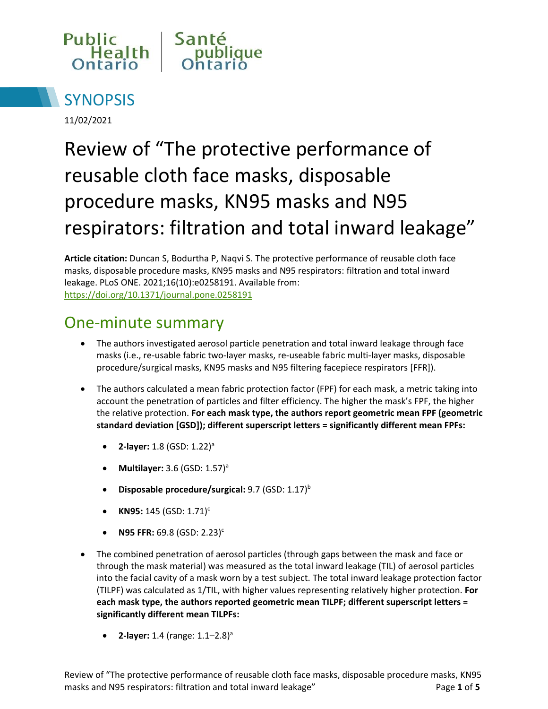



11/02/2021

# Review of "The protective performance of reusable cloth face masks, disposable procedure masks, KN95 masks and N95 respirators: filtration and total inward leakage"

**Article citation:** Duncan S, Bodurtha P, Naqvi S. The protective performance of reusable cloth face masks, disposable procedure masks, KN95 masks and N95 respirators: filtration and total inward leakage. PLoS ONE. 2021;16(10):e0258191. Available from: <https://doi.org/10.1371/journal.pone.0258191>

### One-minute summary

- The authors investigated aerosol particle penetration and total inward leakage through face masks (i.e., re-usable fabric two-layer masks, re-useable fabric multi-layer masks, disposable procedure/surgical masks, KN95 masks and N95 filtering facepiece respirators [FFR]).
- The authors calculated a mean fabric protection factor (FPF) for each mask, a metric taking into account the penetration of particles and filter efficiency. The higher the mask's FPF, the higher the relative protection. **For each mask type, the authors report geometric mean FPF (geometric standard deviation [GSD]); different superscript letters = significantly different mean FPFs:**
	- **2-layer:** 1.8 (GSD: 1.22)<sup>a</sup>
	- **Multilayer:** 3.6 (GSD: 1.57)<sup>a</sup>
	- **Disposable procedure/surgical: 9.7 (GSD: 1.17)<sup>b</sup>**
	- **KN95:** 145 (GSD: 1.71)<sup>c</sup>
	- **N95 FFR: 69.8 (GSD: 2.23)<sup>c</sup>**
- The combined penetration of aerosol particles (through gaps between the mask and face or through the mask material) was measured as the total inward leakage (TIL) of aerosol particles into the facial cavity of a mask worn by a test subject. The total inward leakage protection factor (TILPF) was calculated as 1/TIL, with higher values representing relatively higher protection. **For each mask type, the authors reported geometric mean TILPF; different superscript letters = significantly different mean TILPFs:** 
	- **2-layer:** 1.4 (range: 1.1–2.8)<sup>a</sup>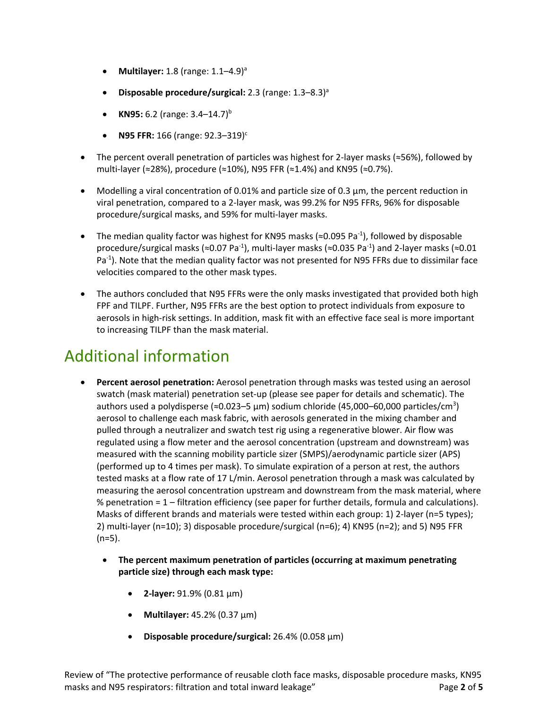- **Multilayer:** 1.8 (range: 1.1–4.9)<sup>a</sup>
- **Disposable procedure/surgical:** 2.3 (range: 1.3–8.3)<sup>a</sup>
- **KN95:** 6.2 (range:  $3.4-14.7$ )<sup>b</sup>
- **N95 FFR:** 166 (range: 92.3-319)<sup>c</sup>
- The percent overall penetration of particles was highest for 2-layer masks (≈56%), followed by multi-layer (≈28%), procedure (≈10%), N95 FFR (≈1.4%) and KN95 (≈0.7%).
- Modelling a viral concentration of 0.01% and particle size of 0.3 µm, the percent reduction in viral penetration, compared to a 2-layer mask, was 99.2% for N95 FFRs, 96% for disposable procedure/surgical masks, and 59% for multi-layer masks.
- The median quality factor was highest for KN95 masks ( $\approx$ 0.095 Pa<sup>-1</sup>), followed by disposable procedure/surgical masks ( $\approx$ 0.07 Pa<sup>-1</sup>), multi-layer masks ( $\approx$ 0.035 Pa<sup>-1</sup>) and 2-layer masks ( $\approx$ 0.01 Pa<sup>-1</sup>). Note that the median quality factor was not presented for N95 FFRs due to dissimilar face velocities compared to the other mask types.
- The authors concluded that N95 FFRs were the only masks investigated that provided both high FPF and TILPF. Further, N95 FFRs are the best option to protect individuals from exposure to aerosols in high-risk settings. In addition, mask fit with an effective face seal is more important to increasing TILPF than the mask material.

## Additional information

- **Percent aerosol penetration:** Aerosol penetration through masks was tested using an aerosol swatch (mask material) penetration set-up (please see paper for details and schematic). The authors used a polydisperse (≈0.023–5 μm) sodium chloride (45,000–60,000 particles/cm<sup>3</sup>) aerosol to challenge each mask fabric, with aerosols generated in the mixing chamber and pulled through a neutralizer and swatch test rig using a regenerative blower. Air flow was regulated using a flow meter and the aerosol concentration (upstream and downstream) was measured with the scanning mobility particle sizer (SMPS)/aerodynamic particle sizer (APS) (performed up to 4 times per mask). To simulate expiration of a person at rest, the authors tested masks at a flow rate of 17 L/min. Aerosol penetration through a mask was calculated by measuring the aerosol concentration upstream and downstream from the mask material, where % penetration = 1 – filtration efficiency (see paper for further details, formula and calculations). Masks of different brands and materials were tested within each group: 1) 2-layer (n=5 types); 2) multi-layer (n=10); 3) disposable procedure/surgical (n=6); 4) KN95 (n=2); and 5) N95 FFR (n=5).
	- **The percent maximum penetration of particles (occurring at maximum penetrating particle size) through each mask type:** 
		- **2-layer:** 91.9% (0.81 µm)
		- **Multilayer:** 45.2% (0.37 µm)
		- **Disposable procedure/surgical:** 26.4% (0.058 µm)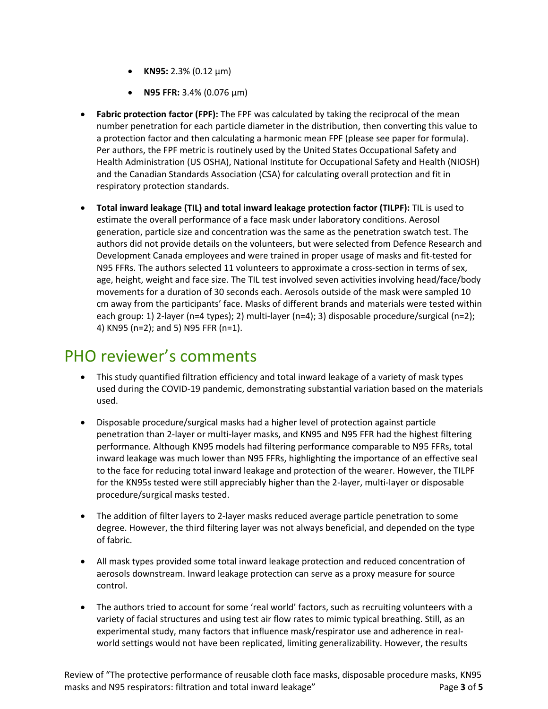- **KN95:** 2.3% (0.12 µm)
- **N95 FFR:** 3.4% (0.076 µm)
- **Fabric protection factor (FPF):** The FPF was calculated by taking the reciprocal of the mean number penetration for each particle diameter in the distribution, then converting this value to a protection factor and then calculating a harmonic mean FPF (please see paper for formula). Per authors, the FPF metric is routinely used by the United States Occupational Safety and Health Administration (US OSHA), National Institute for Occupational Safety and Health (NIOSH) and the Canadian Standards Association (CSA) for calculating overall protection and fit in respiratory protection standards.
- **Total inward leakage (TIL) and total inward leakage protection factor (TILPF):** TIL is used to estimate the overall performance of a face mask under laboratory conditions. Aerosol generation, particle size and concentration was the same as the penetration swatch test. The authors did not provide details on the volunteers, but were selected from Defence Research and Development Canada employees and were trained in proper usage of masks and fit-tested for N95 FFRs. The authors selected 11 volunteers to approximate a cross-section in terms of sex, age, height, weight and face size. The TIL test involved seven activities involving head/face/body movements for a duration of 30 seconds each. Aerosols outside of the mask were sampled 10 cm away from the participants' face. Masks of different brands and materials were tested within each group: 1) 2-layer (n=4 types); 2) multi-layer (n=4); 3) disposable procedure/surgical (n=2); 4) KN95 (n=2); and 5) N95 FFR (n=1).

#### PHO reviewer's comments

- This study quantified filtration efficiency and total inward leakage of a variety of mask types used during the COVID-19 pandemic, demonstrating substantial variation based on the materials used.
- Disposable procedure/surgical masks had a higher level of protection against particle penetration than 2-layer or multi-layer masks, and KN95 and N95 FFR had the highest filtering performance. Although KN95 models had filtering performance comparable to N95 FFRs, total inward leakage was much lower than N95 FFRs, highlighting the importance of an effective seal to the face for reducing total inward leakage and protection of the wearer. However, the TILPF for the KN95s tested were still appreciably higher than the 2-layer, multi-layer or disposable procedure/surgical masks tested.
- The addition of filter layers to 2-layer masks reduced average particle penetration to some degree. However, the third filtering layer was not always beneficial, and depended on the type of fabric.
- All mask types provided some total inward leakage protection and reduced concentration of aerosols downstream. Inward leakage protection can serve as a proxy measure for source control.
- The authors tried to account for some 'real world' factors, such as recruiting volunteers with a variety of facial structures and using test air flow rates to mimic typical breathing. Still, as an experimental study, many factors that influence mask/respirator use and adherence in realworld settings would not have been replicated, limiting generalizability. However, the results

Review of "The protective performance of reusable cloth face masks, disposable procedure masks, KN95 masks and N95 respirators: filtration and total inward leakage" Page **3** of 5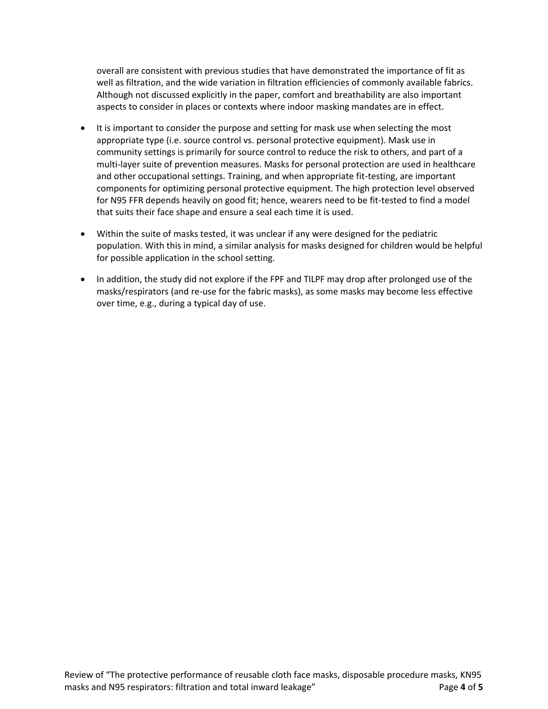overall are consistent with previous studies that have demonstrated the importance of fit as well as filtration, and the wide variation in filtration efficiencies of commonly available fabrics. Although not discussed explicitly in the paper, comfort and breathability are also important aspects to consider in places or contexts where indoor masking mandates are in effect.

- It is important to consider the purpose and setting for mask use when selecting the most appropriate type (i.e. source control vs. personal protective equipment). Mask use in community settings is primarily for source control to reduce the risk to others, and part of a multi-layer suite of prevention measures. Masks for personal protection are used in healthcare and other occupational settings. Training, and when appropriate fit-testing, are important components for optimizing personal protective equipment. The high protection level observed for N95 FFR depends heavily on good fit; hence, wearers need to be fit-tested to find a model that suits their face shape and ensure a seal each time it is used.
- Within the suite of masks tested, it was unclear if any were designed for the pediatric population. With this in mind, a similar analysis for masks designed for children would be helpful for possible application in the school setting.
- In addition, the study did not explore if the FPF and TILPF may drop after prolonged use of the masks/respirators (and re-use for the fabric masks), as some masks may become less effective over time, e.g., during a typical day of use.